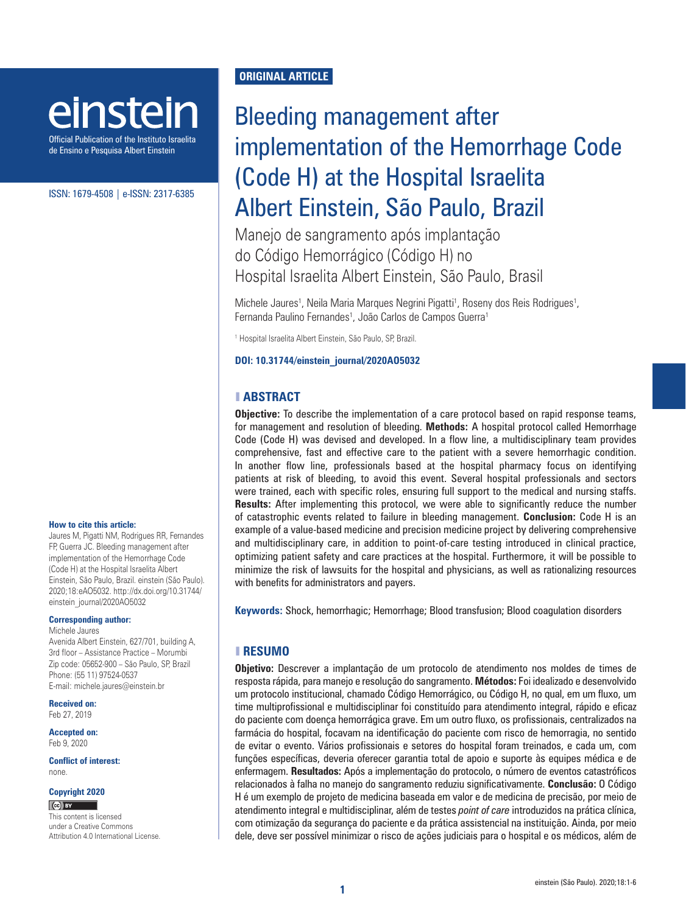# einstein

Official Publication of the Instituto Israelita de Ensino e Pesquisa Albert Einstein

#### ISSN: 1679-4508 | e-ISSN: 2317-6385

#### **How to cite this article:**

Jaures M, Pigatti NM, Rodrigues RR, Fernandes FP, Guerra JC. Bleeding management after implementation of the Hemorrhage Code (Code H) at the Hospital Israelita Albert Einstein, São Paulo, Brazil. einstein (São Paulo). 2020;18:eAO5032. [http://dx.doi.org/10.31744/](http://dx.doi.org/10.31744/einstein_journal/2020AO5032) [einstein\\_journal/2020AO5032](http://dx.doi.org/10.31744/einstein_journal/2020AO5032)

#### **Corresponding author:**

Michele Jaures Avenida Albert Einstein, 627/701, building A, 3rd floor – Assistance Practice – Morumbi Zip code: 05652-900 – São Paulo, SP, Brazil Phone: (55 11) 97524-0537 E-mail: michele.jaures@einstein.br

**Received on:** Feb 27, 2019

**Accepted on:** Feb 9, 2020

**Conflict of interest:** none.

#### **Copyright 2020**

 $(C)$  BY

This content is licensed under a Creative Commons Attribution 4.0 International License.

# **ORIGINAL ARTICLE**

# Bleeding management after implementation of the Hemorrhage Code (Code H) at the Hospital Israelita Albert Einstein, São Paulo, Brazil

Manejo de sangramento após implantação do Código Hemorrágico (Código H) no Hospital Israelita Albert Einstein, São Paulo, Brasil

Michele Jaures<sup>1</sup>, Neila Maria Marques Negrini Pigatti<sup>1</sup>, Roseny dos Reis Rodrigues<sup>1</sup>, Fernanda Paulino Fernandes<sup>1</sup>, João Carlos de Campos Guerra<sup>1</sup>

1 Hospital Israelita Albert Einstein, São Paulo, SP, Brazil.

#### **DOI: 10.31744/einstein\_journal/2020AO5032**

### ❚ **ABSTRACT**

**Objective:** To describe the implementation of a care protocol based on rapid response teams, for management and resolution of bleeding. **Methods:** A hospital protocol called Hemorrhage Code (Code H) was devised and developed. In a flow line, a multidisciplinary team provides comprehensive, fast and effective care to the patient with a severe hemorrhagic condition. In another flow line, professionals based at the hospital pharmacy focus on identifying patients at risk of bleeding, to avoid this event. Several hospital professionals and sectors were trained, each with specific roles, ensuring full support to the medical and nursing staffs. **Results:** After implementing this protocol, we were able to significantly reduce the number of catastrophic events related to failure in bleeding management. **Conclusion:** Code H is an example of a value-based medicine and precision medicine project by delivering comprehensive and multidisciplinary care, in addition to point-of-care testing introduced in clinical practice, optimizing patient safety and care practices at the hospital. Furthermore, it will be possible to minimize the risk of lawsuits for the hospital and physicians, as well as rationalizing resources with benefits for administrators and payers.

**Keywords:** Shock, hemorrhagic; Hemorrhage; Blood transfusion; Blood coagulation disorders

# ❚ **RESUMO**

**Objetivo:** Descrever a implantação de um protocolo de atendimento nos moldes de times de resposta rápida, para manejo e resolução do sangramento. **Métodos:** Foi idealizado e desenvolvido um protocolo institucional, chamado Código Hemorrágico, ou Código H, no qual, em um fluxo, um time multiprofissional e multidisciplinar foi constituído para atendimento integral, rápido e eficaz do paciente com doença hemorrágica grave. Em um outro fluxo, os profissionais, centralizados na farmácia do hospital, focavam na identificação do paciente com risco de hemorragia, no sentido de evitar o evento. Vários profissionais e setores do hospital foram treinados, e cada um, com funções específicas, deveria oferecer garantia total de apoio e suporte às equipes médica e de enfermagem. **Resultados:** Após a implementação do protocolo, o número de eventos catastróficos relacionados à falha no manejo do sangramento reduziu significativamente. **Conclusão:** O Código H é um exemplo de projeto de medicina baseada em valor e de medicina de precisão, por meio de atendimento integral e multidisciplinar, além de testes *point of care* introduzidos na prática clínica, com otimização da segurança do paciente e da prática assistencial na instituição. Ainda, por meio dele, deve ser possível minimizar o risco de ações judiciais para o hospital e os médicos, além de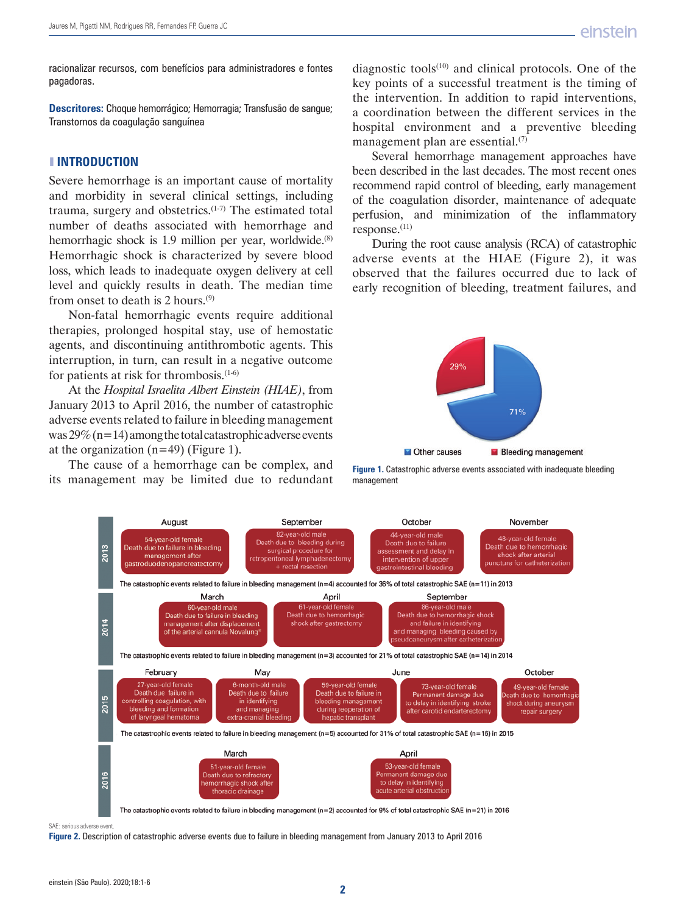racionalizar recursos, com benefícios para administradores e fontes pagadoras.

**Descritores:** Choque hemorrágico; Hemorragia; Transfusão de sangue; Transtornos da coagulação sanguínea

# ❚ **INTRODUCTION**

Severe hemorrhage is an important cause of mortality and morbidity in several clinical settings, including trauma, surgery and obstetrics. $(1-7)$  The estimated total number of deaths associated with hemorrhage and hemorrhagic shock is 1.9 million per year, worldwide.<sup>(8)</sup> Hemorrhagic shock is characterized by severe blood loss, which leads to inadequate oxygen delivery at cell level and quickly results in death. The median time from onset to death is 2 hours.(9)

Non-fatal hemorrhagic events require additional therapies, prolonged hospital stay, use of hemostatic agents, and discontinuing antithrombotic agents. This interruption, in turn, can result in a negative outcome for patients at risk for thrombosis.(1-6)

At the *Hospital Israelita Albert Einstein (HIAE)*, from January 2013 to April 2016, the number of catastrophic adverse events related to failure in bleeding management was  $29\%$  (n=14) among the total catastrophic adverse events at the organization  $(n=49)$  (Figure 1).

The cause of a hemorrhage can be complex, and its management may be limited due to redundant diagnostic tools $(10)$  and clinical protocols. One of the key points of a successful treatment is the timing of the intervention. In addition to rapid interventions, a coordination between the different services in the hospital environment and a preventive bleeding management plan are essential.(7)

Several hemorrhage management approaches have been described in the last decades. The most recent ones recommend rapid control of bleeding, early management of the coagulation disorder, maintenance of adequate perfusion, and minimization of the inflammatory response.(11)

During the root cause analysis (RCA) of catastrophic adverse events at the HIAE (Figure 2), it was observed that the failures occurred due to lack of early recognition of bleeding, treatment failures, and



**Figure 1.** Catastrophic adverse events associated with inadequate bleeding management



SAE: serious adverse event.

**Figure 2.** Description of catastrophic adverse events due to failure in bleeding management from January 2013 to April 2016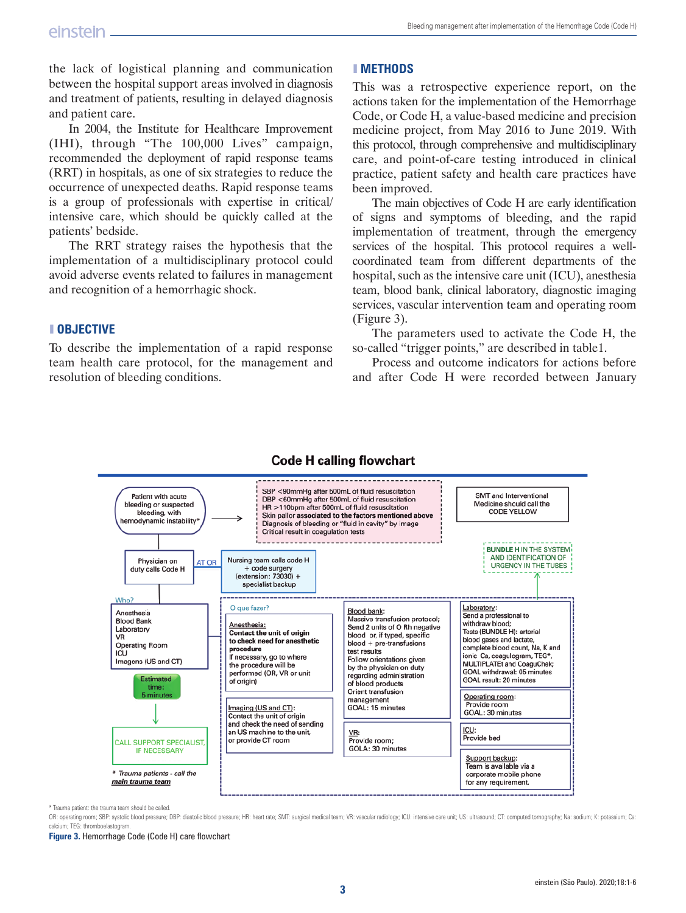the lack of logistical planning and communication between the hospital support areas involved in diagnosis and treatment of patients, resulting in delayed diagnosis and patient care.

In 2004, the Institute for Healthcare Improvement (IHI), through "The 100,000 Lives" campaign, recommended the deployment of rapid response teams (RRT) in hospitals, as one of six strategies to reduce the occurrence of unexpected deaths. Rapid response teams is a group of professionals with expertise in critical/ intensive care, which should be quickly called at the patients' bedside.

The RRT strategy raises the hypothesis that the implementation of a multidisciplinary protocol could avoid adverse events related to failures in management and recognition of a hemorrhagic shock.

# ❚ **OBJECTIVE**

To describe the implementation of a rapid response team health care protocol, for the management and resolution of bleeding conditions.

# ❚ **METHODS**

This was a retrospective experience report, on the actions taken for the implementation of the Hemorrhage Code, or Code H, a value-based medicine and precision medicine project, from May 2016 to June 2019. With this protocol, through comprehensive and multidisciplinary care, and point-of-care testing introduced in clinical practice, patient safety and health care practices have been improved.

The main objectives of Code H are early identification of signs and symptoms of bleeding, and the rapid implementation of treatment, through the emergency services of the hospital. This protocol requires a wellcoordinated team from different departments of the hospital, such as the intensive care unit (ICU), anesthesia team, blood bank, clinical laboratory, diagnostic imaging services, vascular intervention team and operating room (Figure 3).

The parameters used to activate the Code H, the so-called "trigger points," are described in table1.

Process and outcome indicators for actions before and after Code H were recorded between January



# **Code H calling flowchart**

\* Trauma patient: the trauma team should be called.

OR: operating room; SBP: systolic blood pressure; DBP: diastolic blood pressure; HR: heart rate; SMT: surgical medical team; VR: vascular radiology; ICU: intensive care unit; US: ultrasound; CT: computed tomography; Na: so calcium; TEG: thromboelastogram.

**Figure 3.** Hemorrhage Code (Code H) care flowchart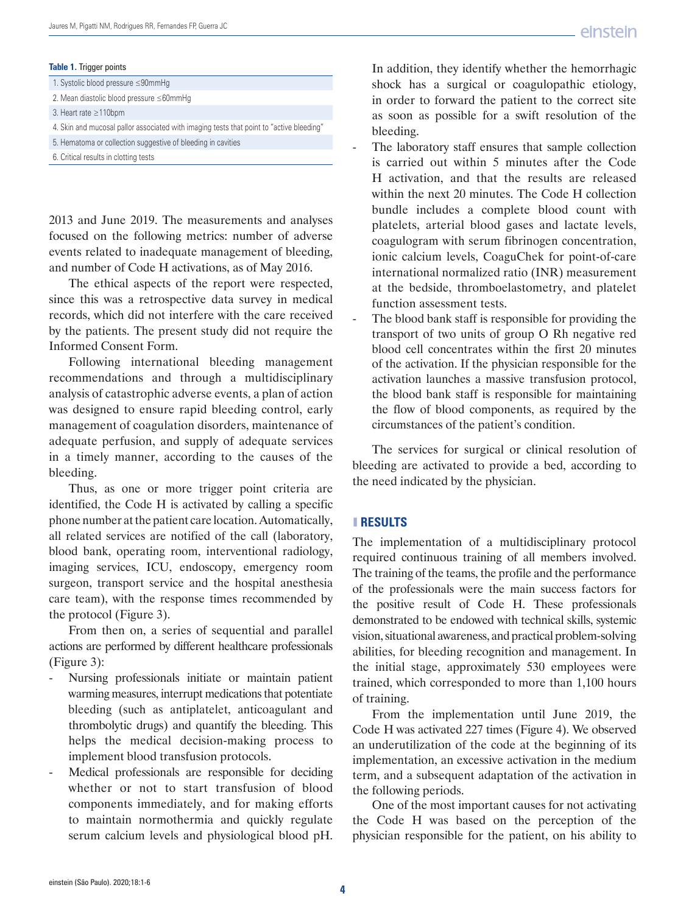#### **Table 1.** Trigger points

| 1. Systolic blood pressure ≤90mmHq                                                       |  |
|------------------------------------------------------------------------------------------|--|
| 2. Mean diastolic blood pressure $\leq 60$ mmHq                                          |  |
| 3. Heart rate $\geq$ 110bpm                                                              |  |
| 4. Skin and mucosal pallor associated with imaging tests that point to "active bleeding" |  |
| 5. Hematoma or collection suggestive of bleeding in cavities                             |  |
| 6. Critical results in clotting tests                                                    |  |

2013 and June 2019. The measurements and analyses focused on the following metrics: number of adverse events related to inadequate management of bleeding, and number of Code H activations, as of May 2016.

The ethical aspects of the report were respected, since this was a retrospective data survey in medical records, which did not interfere with the care received by the patients. The present study did not require the Informed Consent Form.

Following international bleeding management recommendations and through a multidisciplinary analysis of catastrophic adverse events, a plan of action was designed to ensure rapid bleeding control, early management of coagulation disorders, maintenance of adequate perfusion, and supply of adequate services in a timely manner, according to the causes of the bleeding.

Thus, as one or more trigger point criteria are identified, the Code H is activated by calling a specific phone number at the patient care location. Automatically, all related services are notified of the call (laboratory, blood bank, operating room, interventional radiology, imaging services, ICU, endoscopy, emergency room surgeon, transport service and the hospital anesthesia care team), with the response times recommended by the protocol (Figure 3).

From then on, a series of sequential and parallel actions are performed by different healthcare professionals (Figure 3):

- Nursing professionals initiate or maintain patient warming measures, interrupt medications that potentiate bleeding (such as antiplatelet, anticoagulant and thrombolytic drugs) and quantify the bleeding. This helps the medical decision-making process to implement blood transfusion protocols.
- Medical professionals are responsible for deciding whether or not to start transfusion of blood components immediately, and for making efforts to maintain normothermia and quickly regulate serum calcium levels and physiological blood pH.

In addition, they identify whether the hemorrhagic shock has a surgical or coagulopathic etiology, in order to forward the patient to the correct site as soon as possible for a swift resolution of the bleeding.

- The laboratory staff ensures that sample collection is carried out within 5 minutes after the Code H activation, and that the results are released within the next 20 minutes. The Code H collection bundle includes a complete blood count with platelets, arterial blood gases and lactate levels, coagulogram with serum fibrinogen concentration, ionic calcium levels, CoaguChek for point-of-care international normalized ratio (INR) measurement at the bedside, thromboelastometry, and platelet function assessment tests.
- The blood bank staff is responsible for providing the transport of two units of group O Rh negative red blood cell concentrates within the first 20 minutes of the activation. If the physician responsible for the activation launches a massive transfusion protocol, the blood bank staff is responsible for maintaining the flow of blood components, as required by the circumstances of the patient's condition.

The services for surgical or clinical resolution of bleeding are activated to provide a bed, according to the need indicated by the physician.

# ❚ **RESULTS**

The implementation of a multidisciplinary protocol required continuous training of all members involved. The training of the teams, the profile and the performance of the professionals were the main success factors for the positive result of Code H. These professionals demonstrated to be endowed with technical skills, systemic vision, situational awareness, and practical problem-solving abilities, for bleeding recognition and management. In the initial stage, approximately 530 employees were trained, which corresponded to more than 1,100 hours of training.

From the implementation until June 2019, the Code H was activated 227 times (Figure 4). We observed an underutilization of the code at the beginning of its implementation, an excessive activation in the medium term, and a subsequent adaptation of the activation in the following periods.

One of the most important causes for not activating the Code H was based on the perception of the physician responsible for the patient, on his ability to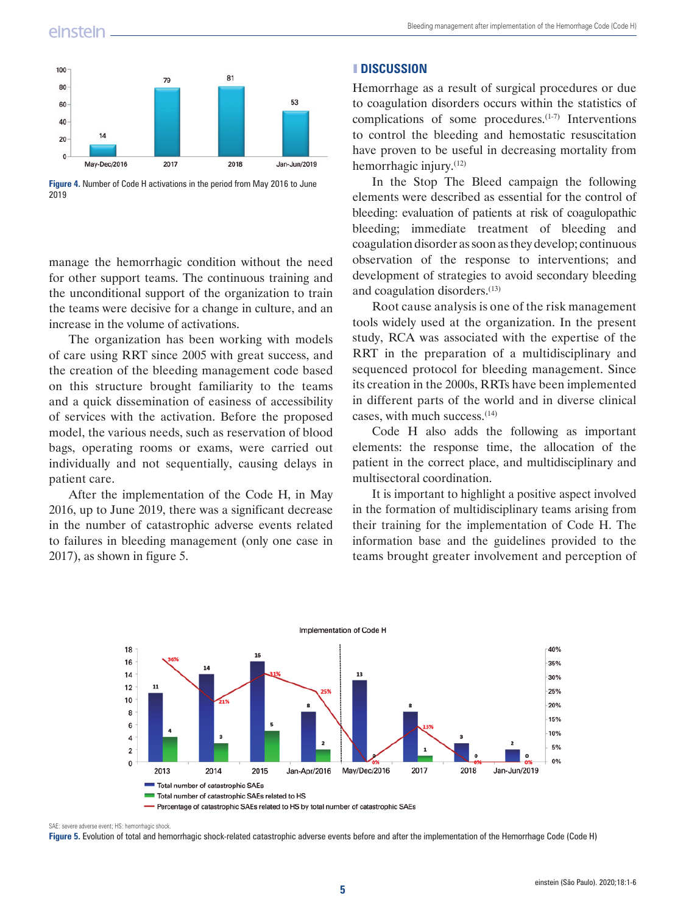# einstein



**Figure 4.** Number of Code H activations in the period from May 2016 to June 2019

manage the hemorrhagic condition without the need for other support teams. The continuous training and the unconditional support of the organization to train the teams were decisive for a change in culture, and an increase in the volume of activations.

The organization has been working with models of care using RRT since 2005 with great success, and the creation of the bleeding management code based on this structure brought familiarity to the teams and a quick dissemination of easiness of accessibility of services with the activation. Before the proposed model, the various needs, such as reservation of blood bags, operating rooms or exams, were carried out individually and not sequentially, causing delays in patient care.

After the implementation of the Code H, in May 2016, up to June 2019, there was a significant decrease in the number of catastrophic adverse events related to failures in bleeding management (only one case in 2017), as shown in figure 5.

### ❚ **DISCUSSION**

Hemorrhage as a result of surgical procedures or due to coagulation disorders occurs within the statistics of complications of some procedures.<sup>(1-7)</sup> Interventions to control the bleeding and hemostatic resuscitation have proven to be useful in decreasing mortality from hemorrhagic injury.(12)

In the Stop The Bleed campaign the following elements were described as essential for the control of bleeding: evaluation of patients at risk of coagulopathic bleeding; immediate treatment of bleeding and coagulation disorder as soon as they develop; continuous observation of the response to interventions; and development of strategies to avoid secondary bleeding and coagulation disorders.(13)

Root cause analysis is one of the risk management tools widely used at the organization. In the present study, RCA was associated with the expertise of the RRT in the preparation of a multidisciplinary and sequenced protocol for bleeding management. Since its creation in the 2000s, RRTs have been implemented in different parts of the world and in diverse clinical cases, with much success.(14)

Code H also adds the following as important elements: the response time, the allocation of the patient in the correct place, and multidisciplinary and multisectoral coordination.

It is important to highlight a positive aspect involved in the formation of multidisciplinary teams arising from their training for the implementation of Code H. The information base and the guidelines provided to the teams brought greater involvement and perception of



SAE: severe adverse event; HS: hemorrhagic shock.

**Figure 5.** Evolution of total and hemorrhagic shock-related catastrophic adverse events before and after the implementation of the Hemorrhage Code (Code H)